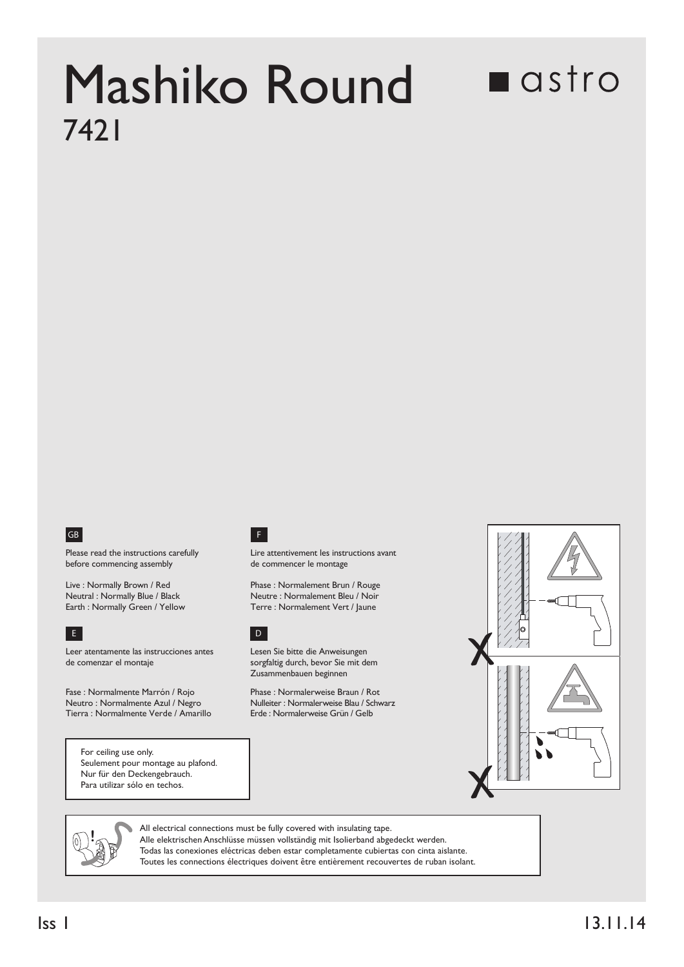## Mashiko Round 7421

## **n**astro



Please read the instructions carefully before commencing assembly

Live : Normally Brown / Red Neutral : Normally Blue / Black<br>Earth : Normally Green / Yellow



E DE L'ANGELIA DE L'ANGELIA DE L'ANGELIA DE L'ANGELIA DE L'ANGELIA DE L'ANGELIA DE L'ANGELIA DE L'ANGELIA DE L Leer atentamente las instrucciones antes de comenzar el montaje

Fase : Normalmente Marrón / Rojo Neutro : Normalmente Azul / Negro Tierra : Normalmente Verde / Amarillo F

Lire attentivement les instructions avant de commencer le montage

Phase : Normalement Brun / Rouge Neutre : Normalement Bleu / Noir Terre : Normalement Vert / Jaune



Lesen Sie bitte die Anweisungen sorgfaltig durch, bevor Sie mit dem Zusammenbauen beginnen

Phase : Normalerweise Braun / Rot Nulleiter : Normalerweise Blau / Schwarz<br>Erde : Normalerweise Grün / Gelb



For ceiling use only. Seulement pour montage au plafond. Nur für den Deckengebrauch. Para utilizar sólo en techos.



All electrical connections must be fully covered with insulating tape. Alle elektrischen Anschlüsse müssen vollständig mit Isolierband abgedeckt werden. Todas las conexiones eléctricas deben estar completamente cubiertas con cinta aislante. Toutes les connections électriques doivent être entièrement recouvertes de ruban isolant.